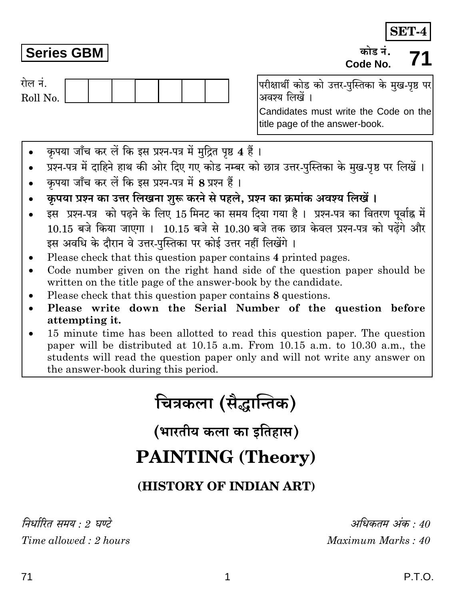## **Series GBM**

रोल नं.

Roll No.

परीक्षार्थी कोड को उत्तर-पुस्तिका के मुख-पृष्ठ पर अवश्य लिखें ।

Candidates must write the Code on the title page of the answer-book.

- कपया जाँच कर लें कि इस प्रश्न-पत्र में मुद्रित पृष्ठ 4 हैं।
- प्रश्न-पत्र में दाहिने हाथ की ओर दिए गए कोड नम्बर को छात्र उत्तर-पुस्तिका के मुख-पृष्ठ पर लिखें ।
- कपया जाँच कर लें कि इस प्रश्न-पत्र में 8 प्रश्न हैं।
- कपया प्रश्न का उत्तर लिखना शुरू करने से पहले. प्रश्न का क्रमांक अवश्य लिखें ।
- इस प्रश्न-पत्र को पढ़ने के लिए 15 मिनट का समय दिया गया है। प्रश्न-पत्र का वितरण पर्वाह्न में  $10.15$  बजे किया जाएगा ।  $10.15$  बजे से  $10.30$  बजे तक छात्र केवल प्रश्न-पत्र को पढेंगे और इस अवधि के दौरान वे उत्तर-पुस्तिका पर कोई उत्तर नहीं लिखेंगे।
- Please check that this question paper contains 4 printed pages.
- Code number given on the right hand side of the question paper should be written on the title page of the answer-book by the candidate.
- Please check that this question paper contains 8 questions.
- Please write down the Serial Number of the question before attempting it.
- 15 minute time has been allotted to read this question paper. The question paper will be distributed at 10.15 a.m. From 10.15 a.m. to 10.30 a.m., the students will read the question paper only and will not write any answer on the answer-book during this period.

# चित्रकला (सैद्धान्तिक)

(भारतीय कला का इतिहास)

## **PAINTING (Theory)**

### (HISTORY OF INDIAN ART)

निर्धारित समय · ? घण्टे Time allowed: 2 hours

अधिकतम अंक · 40 Maximum Marks: 40

### SET-4 कोड नं

## Code No.

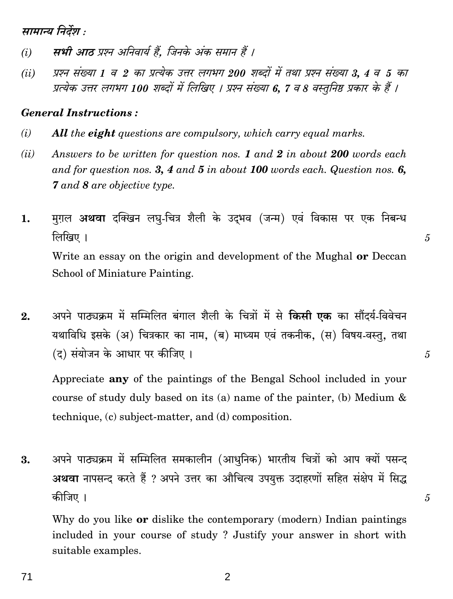सामान्य निर्देश :

- सभी आठ प्रश्न अनिवार्य हैं. जिनके अंक समान हैं ।  $(i)$
- प्रश्न संख्या 1 व 2 का प्रत्येक उत्तर लगभग 200 शब्दों में तथा प्रश्न संख्या 3, 4 व 5 का  $(ii)$ प्रत्येक उत्तर लगभग 100 शब्दों में लिखिए । प्रश्न संख्या 6, 7 व 8 वस्तुनिष्ठ प्रकार के हैं ।

#### **General Instructions:**

- $(i)$ **All** the **eight** questions are compulsory, which carry equal marks.
- Answers to be written for question nos. 1 and 2 in about 200 words each  $(ii)$ and for question nos. 3, 4 and 5 in about 100 words each. Question nos. 6, **7** and 8 are objective type.
- मग़ल **अथवा** दक्खिन लघ-चित्र शैली के उदभव (जन्म) एवं विकास पर एक निबन्ध 1. लिखिए । Write an essay on the origin and development of the Mughal or Deccan School of Miniature Painting.

5

5

 $\mathfrak{F}$ 

अपने पाठ्यक्रम में सम्मिलित बंगाल शैली के चित्रों में से **किसी एक** का सौंदर्य-विवेचन  $2.$ यथाविधि इसके (अ) चित्रकार का नाम, (ब) माध्यम एवं तकनीक, (स) विषय-वस्त्, तथा (द) संयोजन के आधार पर कीजिए ।

Appreciate any of the paintings of the Bengal School included in your course of study duly based on its (a) name of the painter, (b) Medium  $\&$ technique, (c) subject-matter, and (d) composition.

अपने पाठ्यक्रम में सम्मिलित समकालीन (आधुनिक) भारतीय चित्रों को आप क्यों पसन्द 3. अथवा नापसन्द करते हैं ? अपने उत्तर का औचित्य उपयुक्त उदाहरणों सहित संक्षेप में सिद्ध कीजिए ।

Why do you like **or** dislike the contemporary (modern) Indian paintings included in your course of study? Justify your answer in short with suitable examples.

 $\overline{2}$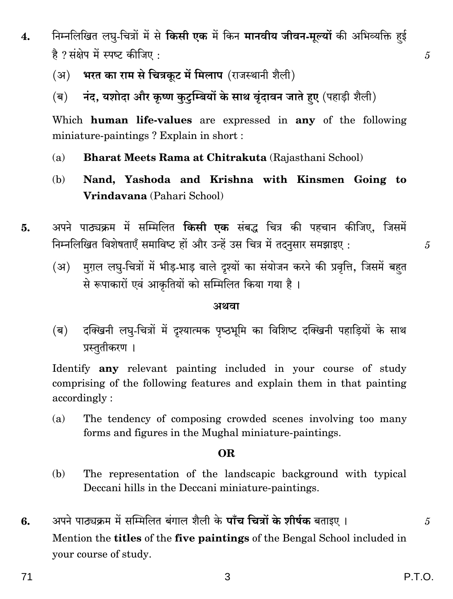- निम्नलिखित लघु-चित्रों में से **किसी एक** में किन **मानवीय जीवन-मुल्यों** की अभिव्यक्ति हई  $\overline{4}$ . है ? संक्षेप में स्पष्ट कीजिए :
	- भरत का राम से चित्रकट में मिलाप (राजस्थानी शैली)  $(3I)$
	- नंद, यशोदा और कृष्ण कुटुम्बियों के साथ वृंदावन जाते हुए (पहाड़ी शैली) (ब)

Which human life-values are expressed in any of the following miniature-paintings? Explain in short :

- Bharat Meets Rama at Chitrakuta (Rajasthani School)  $(a)$
- Nand, Yashoda and Krishna with Kinsmen Going to (b) Vrindavana (Pahari School)
- अपने पाठ्यक्रम में सम्मिलित **किसी एक** संबद्ध चित्र की पहचान कीजिए, जिसमें 5. निम्नलिखित विशेषताएँ समाविष्ट हों और उन्हें उस चित्र में तदनसार समझाइए:
	- मुग़ल लघु-चित्रों में भीड़-भाड़ वाले दृश्यों का संयोजन करने की प्रवृत्ति, जिसमें बहत  $(3)$ से रूपाकारों एवं आकृतियों को सम्मिलित किया गया है।

#### अथवा

दक्खिनी लघु-चित्रों में दृश्यात्मक पृष्ठभूमि का विशिष्ट दक्खिनी पहाड़ियों के साथ (ब) प्रस्तुतीकरण ।

Identify **any** relevant painting included in your course of study comprising of the following features and explain them in that painting accordingly:

The tendency of composing crowded scenes involving too many  $(a)$ forms and figures in the Mughal miniature-paintings.

#### OR.

- The representation of the landscapic background with typical (b) Deccani hills in the Deccani miniature-paintings.
- अपने पाठ्यक्रम में सम्मिलित बंगाल शैली के **पाँच चित्रों के शीर्षक** बताइए । 6. Mention the **titles** of the five paintings of the Bengal School included in your course of study.

5

 $\mathfrak{F}$